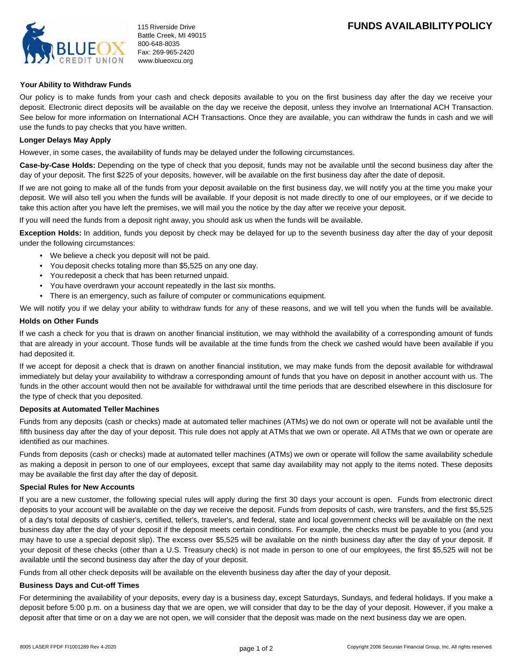

# **FUNDS AVAILABILITY POLICY**

## **Your Ability to Withdraw Funds**

Our policy is to make funds from your cash and check deposits available to you on the first business day after the day we receive your deposit. Electronic direct deposits will be available on the day we receive the deposit, unless they involve an International ACH Transaction. See below for more information on International ACH Transactions. Once they are available, you can withdraw the funds in cash and we will use the funds to pay checks that you have written.

## **Longer Delays May Apply**

However, in some cases, the availability of funds may be delayed under the following circumstances.

**Case-by-Case Holds:** Depending on the type of check that you deposit, funds may not be available until the second business day after the day of your deposit. The first \$225 of your deposits, however, will be available on the first business day after the date of deposit.

If we are not going to make all of the funds from your deposit available on the first business day, we will notify you at the time you make your deposit. We will also tell you when the funds will be available. If your deposit is not made directly to one of our employees, or if we decide to take this action after you have left the premises, we will mail you the notice by the day after we receive your deposit.

If you will need the funds from a deposit right away, you should ask us when the funds will be available.

**Exception Holds:** In addition, funds you deposit by check may be delayed for up to the seventh business day after the day of your deposit under the following circumstances:

- We believe a check you deposit will not be paid.
- You deposit checks totaling more than \$5,525 on any one day. •
- You redeposit a check that has been returned unpaid. •
- You have overdrawn your account repeatedly in the last six months. •
- There is an emergency, such as failure of computer or communications equipment.

We will notify you if we delay your ability to withdraw funds for any of these reasons, and we will tell you when the funds will be available.

## **Holds on Other Funds**

If we cash a check for you that is drawn on another financial institution, we may withhold the availability of a corresponding amount of funds that are already in your account. Those funds will be available at the time funds from the check we cashed would have been available if you had deposited it.

If we accept for deposit a check that is drawn on another financial institution, we may make funds from the deposit available for withdrawal immediately but delay your availability to withdraw a corresponding amount of funds that you have on deposit in another account with us. The funds in the other account would then not be available for withdrawal until the time periods that are described elsewhere in this disclosure for the type of check that you deposited.

#### **Deposits at Automated Teller Machines**

Funds from any deposits (cash or checks) made at automated teller machines (ATMs) we do not own or operate will not be available until the fifth business day after the day of your deposit. This rule does not apply at ATMs that we own or operate. All ATMs that we own or operate are identified as our machines.

Funds from deposits (cash or checks) made at automated teller machines (ATMs) we own or operate will follow the same availability schedule as making a deposit in person to one of our employees, except that same day availability may not apply to the items noted. These deposits may be available the first day after the day of deposit.

## **Special Rules for New Accounts**

If you are a new customer, the following special rules will apply during the first 30 days your account is open. Funds from electronic direct deposits to your account will be available on the day we receive the deposit. Funds from deposits of cash, wire transfers, and the first \$5,525 of a day's total deposits of cashier's, certified, teller's, traveler's, and federal, state and local government checks will be available on the next business day after the day of your deposit if the deposit meets certain conditions. For example, the checks must be payable to you (and you may have to use a special deposit slip). The excess over \$5,525 will be available on the ninth business day after the day of your deposit. If your deposit of these checks (other than a U.S. Treasury check) is not made in person to one of our employees, the first \$5,525 will not be available until the second business day after the day of your deposit.

Funds from all other check deposits will be available on the eleventh business day after the day of your deposit.

#### **Business Days and Cut-off Times**

For determining the availability of your deposits, every day is a business day, except Saturdays, Sundays, and federal holidays. If you make a deposit before 5:00 p.m. on a business day that we are open, we will consider that day to be the day of your deposit. However, if you make a deposit after that time or on a day we are not open, we will consider that the deposit was made on the next business day we are open.